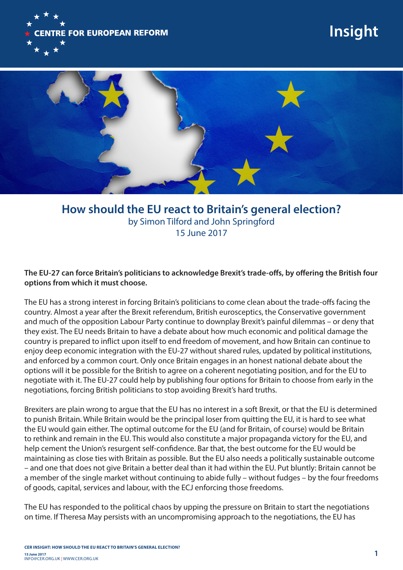

## **Insight**



**How should the EU react to Britain's general election?** by Simon Tilford and John Springford 15 June 2017

**The EU-27 can force Britain's politicians to acknowledge Brexit's trade-offs, by offering the British four options from which it must choose.**

The EU has a strong interest in forcing Britain's politicians to come clean about the trade-offs facing the country. Almost a year after the Brexit referendum, British eurosceptics, the Conservative government and much of the opposition Labour Party continue to downplay Brexit's painful dilemmas – or deny that they exist. The EU needs Britain to have a debate about how much economic and political damage the country is prepared to inflict upon itself to end freedom of movement, and how Britain can continue to enjoy deep economic integration with the EU-27 without shared rules, updated by political institutions, and enforced by a common court. Only once Britain engages in an honest national debate about the options will it be possible for the British to agree on a coherent negotiating position, and for the EU to negotiate with it. The EU-27 could help by publishing four options for Britain to choose from early in the negotiations, forcing British politicians to stop avoiding Brexit's hard truths.

Brexiters are plain wrong to argue that the EU has no interest in a soft Brexit, or that the EU is determined to punish Britain. While Britain would be the principal loser from quitting the EU, it is hard to see what the EU would gain either. The optimal outcome for the EU (and for Britain, of course) would be Britain to rethink and remain in the EU. This would also constitute a major propaganda victory for the EU, and help cement the Union's resurgent self-confidence. Bar that, the best outcome for the EU would be maintaining as close ties with Britain as possible. But the EU also needs a politically sustainable outcome – and one that does not give Britain a better deal than it had within the EU. Put bluntly: Britain cannot be a member of the single market without continuing to abide fully – without fudges – by the four freedoms of goods, capital, services and labour, with the ECJ enforcing those freedoms.

The EU has responded to the political chaos by upping the pressure on Britain to start the negotiations on time. If Theresa May persists with an uncompromising approach to the negotiations, the EU has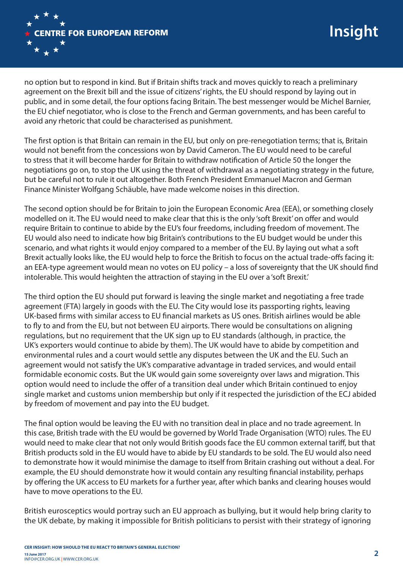

no option but to respond in kind. But if Britain shifts track and moves quickly to reach a preliminary agreement on the Brexit bill and the issue of citizens' rights, the EU should respond by laying out in public, and in some detail, the four options facing Britain. The best messenger would be Michel Barnier, the EU chief negotiator, who is close to the French and German governments, and has been careful to avoid any rhetoric that could be characterised as punishment.

The first option is that Britain can remain in the EU, but only on pre-renegotiation terms; that is, Britain would not benefit from the concessions won by David Cameron. The EU would need to be careful to stress that it will become harder for Britain to withdraw notification of Article 50 the longer the negotiations go on, to stop the UK using the threat of withdrawal as a negotiating strategy in the future, but be careful not to rule it out altogether. Both French President Emmanuel Macron and German Finance Minister Wolfgang Schäuble, have made welcome noises in this direction.

The second option should be for Britain to join the European Economic Area (EEA), or something closely modelled on it. The EU would need to make clear that this is the only 'soft Brexit' on offer and would require Britain to continue to abide by the EU's four freedoms, including freedom of movement. The EU would also need to indicate how big Britain's contributions to the EU budget would be under this scenario, and what rights it would enjoy compared to a member of the EU. By laying out what a soft Brexit actually looks like, the EU would help to force the British to focus on the actual trade-offs facing it: an EEA-type agreement would mean no votes on EU policy – a loss of sovereignty that the UK should find intolerable. This would heighten the attraction of staying in the EU over a 'soft Brexit.'

The third option the EU should put forward is leaving the single market and negotiating a free trade agreement (FTA) largely in goods with the EU. The City would lose its passporting rights, leaving UK-based firms with similar access to EU financial markets as US ones. British airlines would be able to fly to and from the EU, but not between EU airports. There would be consultations on aligning regulations, but no requirement that the UK sign up to EU standards (although, in practice, the UK's exporters would continue to abide by them). The UK would have to abide by competition and environmental rules and a court would settle any disputes between the UK and the EU. Such an agreement would not satisfy the UK's comparative advantage in traded services, and would entail formidable economic costs. But the UK would gain some sovereignty over laws and migration. This option would need to include the offer of a transition deal under which Britain continued to enjoy single market and customs union membership but only if it respected the jurisdiction of the ECJ abided by freedom of movement and pay into the EU budget.

The final option would be leaving the EU with no transition deal in place and no trade agreement. In this case, British trade with the EU would be governed by World Trade Organisation (WTO) rules. The EU would need to make clear that not only would British goods face the EU common external tariff, but that British products sold in the EU would have to abide by EU standards to be sold. The EU would also need to demonstrate how it would minimise the damage to itself from Britain crashing out without a deal. For example, the EU should demonstrate how it would contain any resulting financial instability, perhaps by offering the UK access to EU markets for a further year, after which banks and clearing houses would have to move operations to the EU.

British eurosceptics would portray such an EU approach as bullying, but it would help bring clarity to the UK debate, by making it impossible for British politicians to persist with their strategy of ignoring